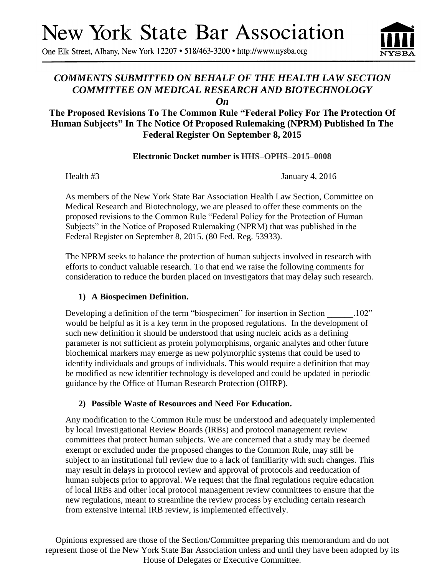# **New York State Bar Association**

One Elk Street, Albany, New York 12207 • 518/463-3200 • http://www.nysba.org

## *COMMENTS SUBMITTED ON BEHALF OF THE HEALTH LAW SECTION COMMITTEE ON MEDICAL RESEARCH AND BIOTECHNOLOGY*

*On*

### **The Proposed Revisions To The Common Rule "Federal Policy For The Protection Of Human Subjects" In The Notice Of Proposed Rulemaking (NPRM) Published In The Federal Register On September 8, 2015**

#### **Electronic Docket number is HHS–OPHS–2015–0008**

Health #3 January 4, 2016

As members of the New York State Bar Association Health Law Section, Committee on Medical Research and Biotechnology, we are pleased to offer these comments on the proposed revisions to the Common Rule "Federal Policy for the Protection of Human Subjects" in the Notice of Proposed Rulemaking (NPRM) that was published in the Federal Register on September 8, 2015. (80 Fed. Reg. 53933).

The NPRM seeks to balance the protection of human subjects involved in research with efforts to conduct valuable research. To that end we raise the following comments for consideration to reduce the burden placed on investigators that may delay such research.

#### **1) A Biospecimen Definition.**

Developing a definition of the term "biospecimen" for insertion in Section 102" would be helpful as it is a key term in the proposed regulations. In the development of such new definition it should be understood that using nucleic acids as a defining parameter is not sufficient as protein polymorphisms, organic analytes and other future biochemical markers may emerge as new polymorphic systems that could be used to identify individuals and groups of individuals. This would require a definition that may be modified as new identifier technology is developed and could be updated in periodic guidance by the Office of Human Research Protection (OHRP).

#### **2) Possible Waste of Resources and Need For Education.**

Any modification to the Common Rule must be understood and adequately implemented by local Investigational Review Boards (IRBs) and protocol management review committees that protect human subjects. We are concerned that a study may be deemed exempt or excluded under the proposed changes to the Common Rule, may still be subject to an institutional full review due to a lack of familiarity with such changes. This may result in delays in protocol review and approval of protocols and reeducation of human subjects prior to approval. We request that the final regulations require education of local IRBs and other local protocol management review committees to ensure that the new regulations, meant to streamline the review process by excluding certain research from extensive internal IRB review, is implemented effectively.

Opinions expressed are those of the Section/Committee preparing this memorandum and do not represent those of the New York State Bar Association unless and until they have been adopted by its House of Delegates or Executive Committee.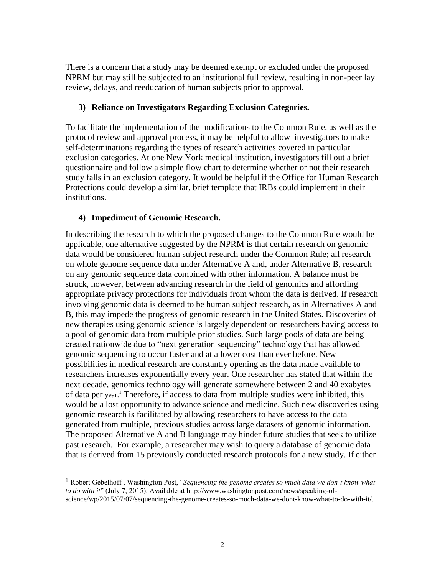There is a concern that a study may be deemed exempt or excluded under the proposed NPRM but may still be subjected to an institutional full review, resulting in non-peer lay review, delays, and reeducation of human subjects prior to approval.

#### **3) Reliance on Investigators Regarding Exclusion Categories.**

To facilitate the implementation of the modifications to the Common Rule, as well as the protocol review and approval process, it may be helpful to allow investigators to make self-determinations regarding the types of research activities covered in particular exclusion categories. At one New York medical institution, investigators fill out a brief questionnaire and follow a simple flow chart to determine whether or not their research study falls in an exclusion category. It would be helpful if the Office for Human Research Protections could develop a similar, brief template that IRBs could implement in their institutions.

#### **4) Impediment of Genomic Research.**

 $\overline{\phantom{a}}$ 

In describing the research to which the proposed changes to the Common Rule would be applicable, one alternative suggested by the NPRM is that certain research on genomic data would be considered human subject research under the Common Rule; all research on whole genome sequence data under Alternative A and, under Alternative B, research on any genomic sequence data combined with other information. A balance must be struck, however, between advancing research in the field of genomics and affording appropriate privacy protections for individuals from whom the data is derived. If research involving genomic data is deemed to be human subject research, as in Alternatives A and B, this may impede the progress of genomic research in the United States. Discoveries of new therapies using genomic science is largely dependent on researchers having access to a pool of genomic data from multiple prior studies. Such large pools of data are being created nationwide due to "next generation sequencing" technology that has allowed genomic sequencing to occur faster and at a lower cost than ever before. New possibilities in medical research are constantly opening as the data made available to researchers increases exponentially every year. One researcher has stated that within the next decade, genomics technology will generate somewhere between 2 and 40 exabytes of data per year.<sup>1</sup> Therefore, if access to data from multiple studies were inhibited, this would be a lost opportunity to advance science and medicine. Such new discoveries using genomic research is facilitated by allowing researchers to have access to the data generated from multiple, previous studies across large datasets of genomic information. The proposed Alternative A and B language may hinder future studies that seek to utilize past research. For example, a researcher may wish to query a database of genomic data that is derived from 15 previously conducted research protocols for a new study. If either

<sup>1</sup> Robert Gebelhoff , Washington Post, "*Sequencing the genome creates so much data we don't know what to do with it*" (July 7, 2015). Available at http://www.washingtonpost.com/news/speaking-ofscience/wp/2015/07/07/sequencing-the-genome-creates-so-much-data-we-dont-know-what-to-do-with-it/.